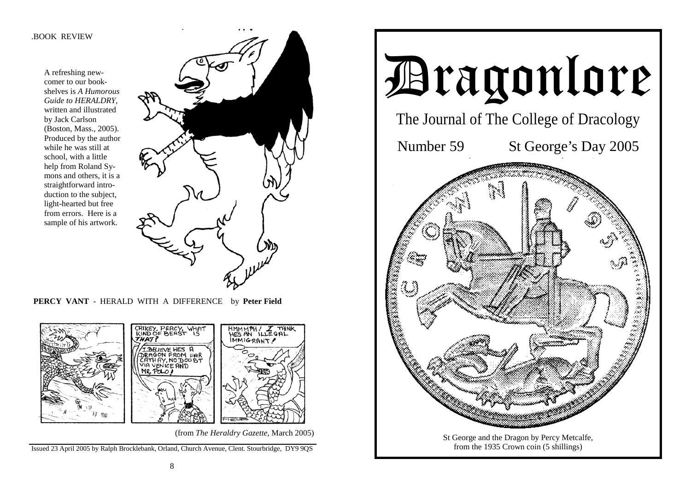#### .BOOK REVIEW

A refreshing newcomer to our bookshelves is *A Humorous Guide to HERALDRY,* written and illustrated by Jack Carlson (Boston, Mass., 2005). Produced by the author while he was still at school, with a little help from Roland Symons and others, it is a straightforward introduction to the subject, light-hearted but free from errors. Here is a sample of his artwork.



 **PERCY VANT** - HERALD WITH A DIFFERENCE by **Peter Field** 



(from *The Heraldry Gazette*, March 2005)

Issued 23 April 2005 by Ralph Brocklebank, Orland, Church Avenue, Clent. Stourbridge, DY9 9QS

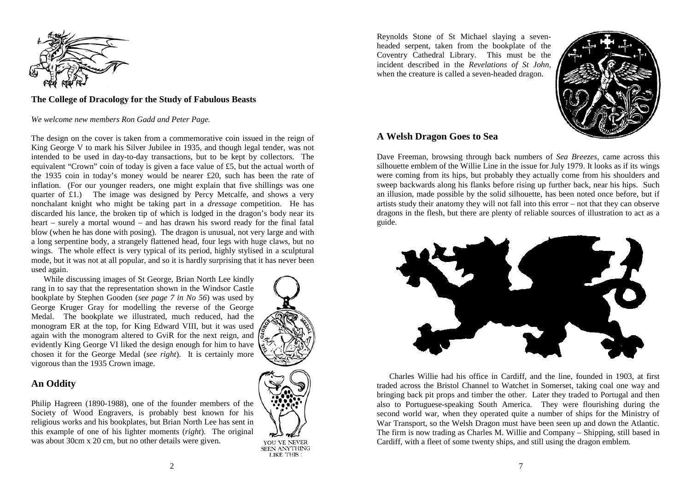

# **The College of Dracology for the Study of Fabulous Beasts**

*We welcome new members Ron Gadd and Peter Page.*

The design on the cover is taken from a commemorative coin issued in the reign of King George V to mark his Silver Jubilee in 1935, and though legal tender, was not intended to be used in day-to-day transactions, but to be kept by collectors. The equivalent "Crown" coin of today is given a face value of £5, but the actual worth of the 1935 coin in today's money would be nearer £20, such has been the rate of inflation. (For our younger readers, one might explain that five shillings was one quarter of £1.) The image was designed by Percy Metcalfe, and shows a very nonchalant knight who might be taking part in a *dressage* competition. He has discarded his lance, the broken tip of which is lodged in the dragon's body near its heart – surely a mortal wound – and has drawn his sword ready for the final fatal blow (when he has done with posing). The dragon is unusual, not very large and with a long serpentine body, a strangely flattened head, four legs with huge claws, but no wings. The whole effect is very typical of its period, highly stylised in a sculptural mode, but it was not at all popular, and so it is hardly surprising that it has never been used again.

 While discussing images of St George, Brian North Lee kindly rang in to say that the representation shown in the Windsor Castle bookplate by Stephen Gooden (*see page 7 in No 56*) was used by George Kruger Gray for modelling the reverse of the George Medal. The bookplate we illustrated, much reduced, had the monogram ER at the top, for King Edward VIII, but it was used again with the monogram altered to GviR for the next reign, and evidently King George VI liked the design enough for him to have chosen it for the George Medal (*see right*). It is certainly more vigorous than the 1935 Crown image.

# **An Oddity**

Philip Hagreen (1890-1988), one of the founder members of the Society of Wood Engravers, is probably best known for his religious works and his bookplates, but Brian North Lee has sent in this example of one of his lighter moments (*right*). The original was about 30cm x 20 cm, but no other details were given.





**SEEN ANYTHING** LIKE THIS!

Reynolds Stone of St Michael slaying a sevenheaded serpent, taken from the bookplate of the Coventry Cathedral Library. This must be the incident described in the *Revelations of St John*, when the creature is called a seven-headed dragon.



## **A Welsh Dragon Goes to Sea**

Dave Freeman, browsing through back numbers of *Sea Breezes*, came across this silhouette emblem of the Willie Line in the issue for July 1979. It looks as if its wings were coming from its hips, but probably they actually come from his shoulders and sweep backwards along his flanks before rising up further back, near his hips. Such an illusion, made possible by the solid silhouette, has been noted once before, but if artists study their anatomy they will not fall into this error – not that they can observe dragons in the flesh, but there are plenty of reliable sources of illustration to act as a guide.



 Charles Willie had his office in Cardiff, and the line, founded in 1903, at first traded across the Bristol Channel to Watchet in Somerset, taking coal one way and bringing back pit props and timber the other. Later they traded to Portugal and then also to Portuguese-speaking South America. They were flourishing during the second world war, when they operated quite a number of ships for the Ministry of War Transport, so the Welsh Dragon must have been seen up and down the Atlantic. The firm is now trading as Charles M. Willie and Company – Shipping, still based in Cardiff, with a fleet of some twenty ships, and still using the dragon emblem.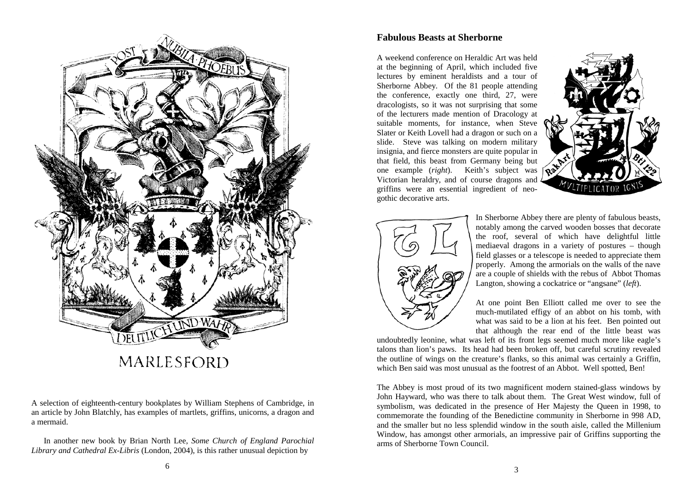

A selection of eighteenth-century bookplates by William Stephens of Cambridge, in an article by John Blatchly, has examples of martlets, griffins, unicorns, a dragon and a mermaid.

 In another new book by Brian North Lee, *Some Church of England Parochial Library and Cathedral Ex-Libris* (London, 2004), is this rather unusual depiction by

#### **Fabulous Beasts at Sherborne**

A weekend conference on Heraldic Art was held at the beginning of April, which included five lectures by eminent heraldists and a tour of Sherborne Abbey. Of the 81 people attending the conference, exactly one third, 27, were dracologists, so it was not surprising that some of the lecturers made mention of Dracology at suitable moments, for instance, when Steve Slater or Keith Lovell had a dragon or such on a slide. Steve was talking on modern military insignia, and fierce monsters are quite popular in that field, this beast from Germany being but one example (*right*). Keith's subject was Victorian heraldry, and of course dragons and griffins were an essential ingredient of neogothic decorative arts.





In Sherborne Abbey there are plenty of fabulous beasts, notably among the carved wooden bosses that decorate the roof, several of which have delightful little mediaeval dragons in a variety of postures – though field glasses or a telescope is needed to appreciate them properly. Among the armorials on the walls of the nave are a couple of shields with the rebus of Abbot Thomas Langton, showing a cockatrice or "angsane" (*left*).

At one point Ben Elliott called me over to see the much-mutilated effigy of an abbot on his tomb, with what was said to be a lion at his feet. Ben pointed out that although the rear end of the little beast was

undoubtedly leonine, what was left of its front legs seemed much more like eagle's talons than lion's paws. Its head had been broken off, but careful scrutiny revealed the outline of wings on the creature's flanks, so this animal was certainly a Griffin, which Ben said was most unusual as the footrest of an Abbot. Well spotted, Ben!

The Abbey is most proud of its two magnificent modern stained-glass windows by John Hayward, who was there to talk about them. The Great West window, full of symbolism, was dedicated in the presence of Her Majesty the Queen in 1998, to commemorate the founding of the Benedictine community in Sherborne in 998 AD, and the smaller but no less splendid window in the south aisle, called the Millenium Window, has amongst other armorials, an impressive pair of Griffins supporting the arms of Sherborne Town Council.